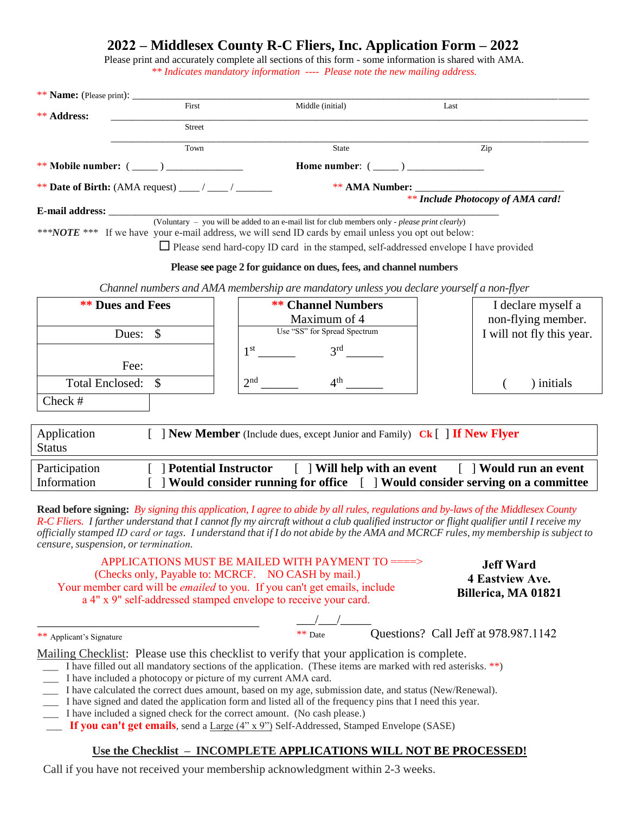# **2022 – Middlesex County R-C Fliers, Inc. Application Form – 2022**

Please print and accurately complete all sections of this form - some information is shared with AMA. *\*\* Indicates mandatory information ---- Please note the new mailing address.* 

| ** Name: (Please print): _   |                                                      |                                                                                                                                                                                                                                                                                                                                                                                       |                                                                                                                                                                                                                                                                                                  |
|------------------------------|------------------------------------------------------|---------------------------------------------------------------------------------------------------------------------------------------------------------------------------------------------------------------------------------------------------------------------------------------------------------------------------------------------------------------------------------------|--------------------------------------------------------------------------------------------------------------------------------------------------------------------------------------------------------------------------------------------------------------------------------------------------|
| <b>** Address:</b>           | First                                                | Middle (initial)                                                                                                                                                                                                                                                                                                                                                                      | Last                                                                                                                                                                                                                                                                                             |
|                              | Street                                               |                                                                                                                                                                                                                                                                                                                                                                                       |                                                                                                                                                                                                                                                                                                  |
|                              | Town                                                 | <b>State</b>                                                                                                                                                                                                                                                                                                                                                                          | Zip                                                                                                                                                                                                                                                                                              |
|                              | ** Mobile number: $(\_\_)$                           | Home number: $(\_\_)$                                                                                                                                                                                                                                                                                                                                                                 |                                                                                                                                                                                                                                                                                                  |
|                              | ** Date of Birth: (AMA request) ____ / ____ / ______ |                                                                                                                                                                                                                                                                                                                                                                                       |                                                                                                                                                                                                                                                                                                  |
|                              |                                                      |                                                                                                                                                                                                                                                                                                                                                                                       | ** Include Photocopy of AMA card!                                                                                                                                                                                                                                                                |
|                              |                                                      | <b>E-mail address:</b> (Voluntary - you will be added to an e-mail list for club members only - please print clearly)<br>*** NOTE *** If we have your e-mail address, we will send ID cards by email unless you opt out below:<br>$\Box$ Please send hard-copy ID card in the stamped, self-addressed envelope I have provided                                                        |                                                                                                                                                                                                                                                                                                  |
|                              |                                                      | Please see page 2 for guidance on dues, fees, and channel numbers                                                                                                                                                                                                                                                                                                                     |                                                                                                                                                                                                                                                                                                  |
|                              |                                                      | Channel numbers and AMA membership are mandatory unless you declare yourself a non-flyer                                                                                                                                                                                                                                                                                              |                                                                                                                                                                                                                                                                                                  |
|                              | <b>** Dues and Fees</b>                              | <b>** Channel Numbers</b><br>Maximum of 4                                                                                                                                                                                                                                                                                                                                             | I declare myself a<br>non-flying member.                                                                                                                                                                                                                                                         |
|                              | Dues:<br>\$                                          | Use "SS" for Spread Spectrum                                                                                                                                                                                                                                                                                                                                                          | I will not fly this year.                                                                                                                                                                                                                                                                        |
|                              | Fee:                                                 | 3 <sup>rd</sup>                                                                                                                                                                                                                                                                                                                                                                       |                                                                                                                                                                                                                                                                                                  |
| <b>Total Enclosed:</b>       | $\mathcal{S}$                                        | $4^{\text{th}}$<br>2 <sup>nd</sup>                                                                                                                                                                                                                                                                                                                                                    | ) initials                                                                                                                                                                                                                                                                                       |
| Check #                      |                                                      |                                                                                                                                                                                                                                                                                                                                                                                       |                                                                                                                                                                                                                                                                                                  |
| Application<br><b>Status</b> |                                                      | <b>New Member</b> (Include dues, except Junior and Family) <b>Ck</b> [ <b>] If New Flyer</b>                                                                                                                                                                                                                                                                                          |                                                                                                                                                                                                                                                                                                  |
| Participation<br>Information |                                                      | [ ] Potential Instructor [ ] Will help with an event                                                                                                                                                                                                                                                                                                                                  | [ ] Would run an event<br>] Would consider running for office [ ] Would consider serving on a committee                                                                                                                                                                                          |
|                              | censure, suspension, or termination.                 | Read before signing: By signing this application, I agree to abide by all rules, regulations and by-laws of the Middlesex County<br>APPLICATIONS MUST BE MAILED WITH PAYMENT TO ====>                                                                                                                                                                                                 | R-C Fliers. I farther understand that I cannot fly my aircraft without a club qualified instructor or flight qualifier until I receive my<br>officially stamped ID card or tags. I understand that if I do not abide by the AMA and MCRCF rules, my membership is subject to<br><b>Jeff Ward</b> |
|                              |                                                      | (Checks only, Payable to: MCRCF. NO CASH by mail.)<br>Your member card will be <i>emailed</i> to you. If you can't get emails, include<br>a 4" x 9" self-addressed stamped envelope to receive your card.                                                                                                                                                                             | 4 Eastview Ave.<br>Billerica, MA 01821                                                                                                                                                                                                                                                           |
| ** Applicant's Signature     |                                                      | $\frac{\sqrt{}}{*** \text{ Date}}$                                                                                                                                                                                                                                                                                                                                                    | Questions? Call Jeff at 978.987.1142                                                                                                                                                                                                                                                             |
|                              |                                                      | Mailing Checklist: Please use this checklist to verify that your application is complete.<br>I have filled out all mandatory sections of the application. (These items are marked with red asterisks. **)<br>I have included a photocopy or picture of my current AMA card.<br>I have calculated the correct dues amount, based on my age, submission date, and status (New/Renewal). |                                                                                                                                                                                                                                                                                                  |

- \_\_\_ I have signed and dated the application form and listed all of the frequency pins that I need this year.
- \_\_\_ I have included a signed check for the correct amount. (No cash please.)
- \_\_\_ **If you can't get emails**, send a Large (4" x 9") Self-Addressed, Stamped Envelope (SASE)

## **Use the Checklist – INCOMPLETE APPLICATIONS WILL NOT BE PROCESSED!**

Call if you have not received your membership acknowledgment within 2-3 weeks.